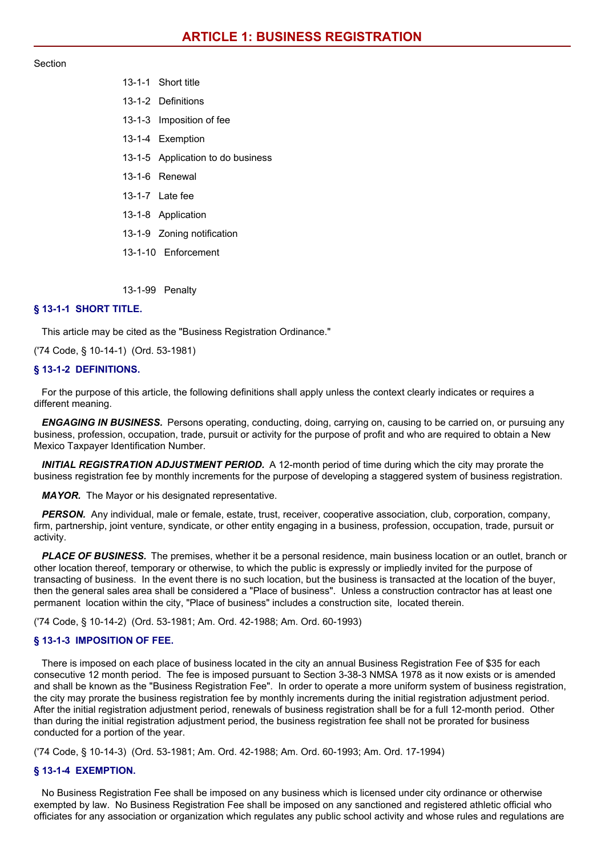### Section

13-1-1 Short title 13-1-2 Definitions 13-1-3 Imposition of fee 13-1-4 Exemption 13-1-5 Application to do business 13-1-6 Renewal 13-1-7 Late fee 13-1-8 Application 13-1-9 Zoning notification 13-1-10 Enforcement

13-1-99 Penalty

# **§ 13-1-1 SHORT TITLE.**

This article may be cited as the "Business Registration Ordinance."

('74 Code, § 10-14-1) (Ord. 53-1981)

### **§ 13-1-2 DEFINITIONS.**

For the purpose of this article, the following definitions shall apply unless the context clearly indicates or requires a different meaning.

*ENGAGING IN BUSINESS.* Persons operating, conducting, doing, carrying on, causing to be carried on, or pursuing any business, profession, occupation, trade, pursuit or activity for the purpose of profit and who are required to obtain a New Mexico Taxpayer Identification Number.

*INITIAL REGISTRATION ADJUSTMENT PERIOD.* A 12-month period of time during which the city may prorate the business registration fee by monthly increments for the purpose of developing a staggered system of business registration.

*MAYOR.* The Mayor or his designated representative.

*PERSON.* Any individual, male or female, estate, trust, receiver, cooperative association, club, corporation, company, firm, partnership, joint venture, syndicate, or other entity engaging in a business, profession, occupation, trade, pursuit or activity.

*PLACE OF BUSINESS.* The premises, whether it be a personal residence, main business location or an outlet, branch or other location thereof, temporary or otherwise, to which the public is expressly or impliedly invited for the purpose of transacting of business. In the event there is no such location, but the business is transacted at the location of the buyer, then the general sales area shall be considered a "Place of business". Unless a construction contractor has at least one permanent location within the city, "Place of business" includes a construction site, located therein.

('74 Code, § 10-14-2) (Ord. 53-1981; Am. Ord. 42-1988; Am. Ord. 60-1993)

# **§ 13-1-3 IMPOSITION OF FEE.**

There is imposed on each place of business located in the city an annual Business Registration Fee of \$35 for each consecutive 12 month period. The fee is imposed pursuant to Section 3-38-3 NMSA 1978 as it now exists or is amended and shall be known as the "Business Registration Fee". In order to operate a more uniform system of business registration, the city may prorate the business registration fee by monthly increments during the initial registration adjustment period. After the initial registration adjustment period, renewals of business registration shall be for a full 12-month period. Other than during the initial registration adjustment period, the business registration fee shall not be prorated for business conducted for a portion of the year.

('74 Code, § 10-14-3) (Ord. 53-1981; Am. Ord. 42-1988; Am. Ord. 60-1993; Am. Ord. 17-1994)

# **§ 13-1-4 EXEMPTION.**

No Business Registration Fee shall be imposed on any business which is licensed under city ordinance or otherwise exempted by law. No Business Registration Fee shall be imposed on any sanctioned and registered athletic official who officiates for any association or organization which regulates any public school activity and whose rules and regulations are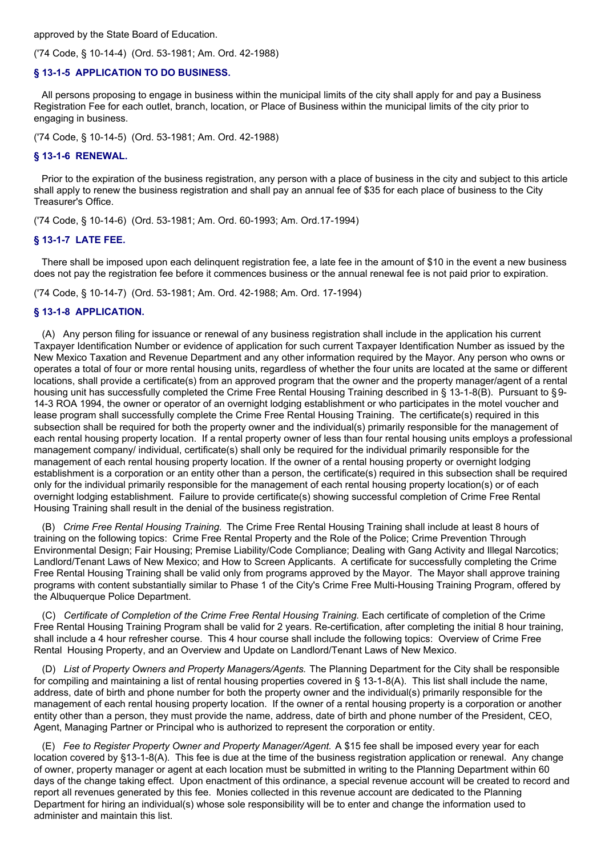approved by the State Board of Education.

('74 Code, § 10-14-4) (Ord. 53-1981; Am. Ord. 42-1988)

# **§ 13-1-5 APPLICATION TO DO BUSINESS.**

All persons proposing to engage in business within the municipal limits of the city shall apply for and pay a Business Registration Fee for each outlet, branch, location, or Place of Business within the municipal limits of the city prior to engaging in business.

('74 Code, § 10-14-5) (Ord. 53-1981; Am. Ord. 42-1988)

### **§ 13-1-6 RENEWAL.**

Prior to the expiration of the business registration, any person with a place of business in the city and subject to this article shall apply to renew the business registration and shall pay an annual fee of \$35 for each place of business to the City Treasurer's Office.

('74 Code, § 10-14-6) (Ord. 53-1981; Am. Ord. 60-1993; Am. Ord.17-1994)

### **§ 13-1-7 LATE FEE.**

There shall be imposed upon each delinquent registration fee, a late fee in the amount of \$10 in the event a new business does not pay the registration fee before it commences business or the annual renewal fee is not paid prior to expiration.

('74 Code, § 10-14-7) (Ord. 53-1981; Am. Ord. 42-1988; Am. Ord. 17-1994)

## **§ 13-1-8 APPLICATION.**

(A) Any person filing for issuance or renewal of any business registration shall include in the application his current Taxpayer Identification Number or evidence of application for such current Taxpayer Identification Number as issued by the New Mexico Taxation and Revenue Department and any other information required by the Mayor. Any person who owns or operates a total of four or more rental housing units, regardless of whether the four units are located at the same or different locations, shall provide a certificate(s) from an approved program that the owner and the property manager/agent of a rental housing unit has successfully completed the Crime Free Rental Housing Training described in § 13-1-8(B). Pursuant to §9-14-3 ROA 1994, the owner or operator of an overnight lodging establishment or who participates in the motel voucher and lease program shall successfully complete the Crime Free Rental Housing Training. The certificate(s) required in this subsection shall be required for both the property owner and the individual(s) primarily responsible for the management of each rental housing property location. If a rental property owner of less than four rental housing units employs a professional management company/ individual, certificate(s) shall only be required for the individual primarily responsible for the management of each rental housing property location. If the owner of a rental housing property or overnight lodging establishment is a corporation or an entity other than a person, the certificate(s) required in this subsection shall be required only for the individual primarily responsible for the management of each rental housing property location(s) or of each overnight lodging establishment. Failure to provide certificate(s) showing successful completion of Crime Free Rental Housing Training shall result in the denial of the business registration.

(B) *Crime Free Rental Housing Training.* The Crime Free Rental Housing Training shall include at least 8 hours of training on the following topics: Crime Free Rental Property and the Role of the Police; Crime Prevention Through Environmental Design; Fair Housing; Premise Liability/Code Compliance; Dealing with Gang Activity and Illegal Narcotics; Landlord/Tenant Laws of New Mexico; and How to Screen Applicants. A certificate for successfully completing the Crime Free Rental Housing Training shall be valid only from programs approved by the Mayor. The Mayor shall approve training programs with content substantially similar to Phase 1 of the City's Crime Free Multi-Housing Training Program, offered by the Albuquerque Police Department.

(C) *Certificate of Completion of the Crime Free Rental Housing Training.* Each certificate of completion of the Crime Free Rental Housing Training Program shall be valid for 2 years. Re-certification, after completing the initial 8 hour training, shall include a 4 hour refresher course. This 4 hour course shall include the following topics: Overview of Crime Free Rental Housing Property, and an Overview and Update on Landlord/Tenant Laws of New Mexico.

(D) *List of Property Owners and Property Managers/Agents.* The Planning Department for the City shall be responsible for compiling and maintaining a list of rental housing properties covered in § 13-1-8(A). This list shall include the name, address, date of birth and phone number for both the property owner and the individual(s) primarily responsible for the management of each rental housing property location. If the owner of a rental housing property is a corporation or another entity other than a person, they must provide the name, address, date of birth and phone number of the President, CEO, Agent, Managing Partner or Principal who is authorized to represent the corporation or entity.

(E) *Fee to Register Property Owner and Property Manager/Agent.* A \$15 fee shall be imposed every year for each location covered by §13-1-8(A). This fee is due at the time of the business registration application or renewal. Any change of owner, property manager or agent at each location must be submitted in writing to the Planning Department within 60 days of the change taking effect. Upon enactment of this ordinance, a special revenue account will be created to record and report all revenues generated by this fee. Monies collected in this revenue account are dedicated to the Planning Department for hiring an individual(s) whose sole responsibility will be to enter and change the information used to administer and maintain this list.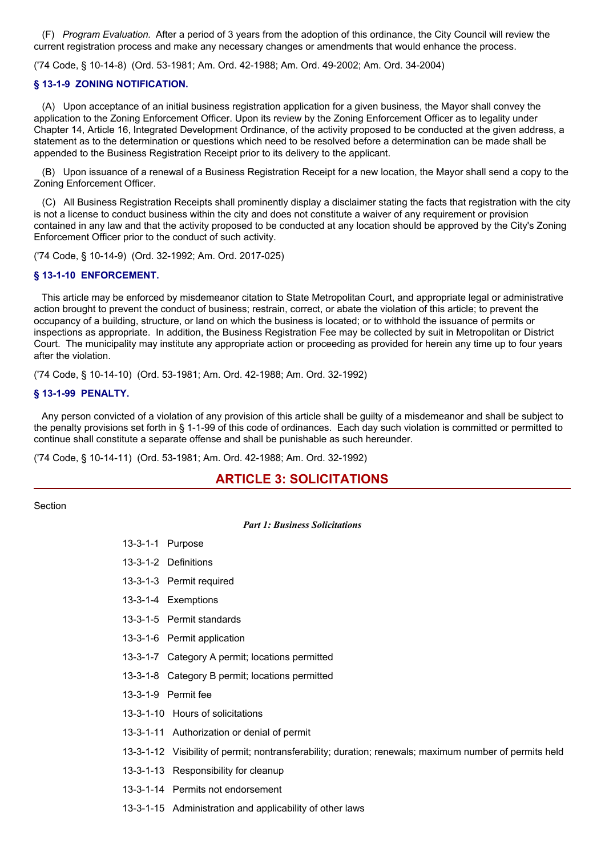(F) *Program Evaluation.* After a period of 3 years from the adoption of this ordinance, the City Council will review the current registration process and make any necessary changes or amendments that would enhance the process.

('74 Code, § 10-14-8) (Ord. 53-1981; Am. Ord. 42-1988; Am. Ord. 49-2002; Am. Ord. 34-2004)

# **§ 13-1-9 ZONING NOTIFICATION.**

(A) Upon acceptance of an initial business registration application for a given business, the Mayor shall convey the application to the Zoning Enforcement Officer. Upon its review by the Zoning Enforcement Officer as to legality under Chapter 14, Article 16, Integrated Development Ordinance, of the activity proposed to be conducted at the given address, a statement as to the determination or questions which need to be resolved before a determination can be made shall be appended to the Business Registration Receipt prior to its delivery to the applicant.

(B) Upon issuance of a renewal of a Business Registration Receipt for a new location, the Mayor shall send a copy to the Zoning Enforcement Officer.

(C) All Business Registration Receipts shall prominently display a disclaimer stating the facts that registration with the city is not a license to conduct business within the city and does not constitute a waiver of any requirement or provision contained in any law and that the activity proposed to be conducted at any location should be approved by the City's Zoning Enforcement Officer prior to the conduct of such activity.

('74 Code, § 10-14-9) (Ord. 32-1992; Am. Ord. 2017-025)

## **§ 13-1-10 ENFORCEMENT.**

This article may be enforced by misdemeanor citation to State Metropolitan Court, and appropriate legal or administrative action brought to prevent the conduct of business; restrain, correct, or abate the violation of this article; to prevent the occupancy of a building, structure, or land on which the business is located; or to withhold the issuance of permits or inspections as appropriate. In addition, the Business Registration Fee may be collected by suit in Metropolitan or District Court. The municipality may institute any appropriate action or proceeding as provided for herein any time up to four years after the violation.

('74 Code, § 10-14-10) (Ord. 53-1981; Am. Ord. 42-1988; Am. Ord. 32-1992)

#### **§ 13-1-99 PENALTY.**

Any person convicted of a violation of any provision of this article shall be guilty of a misdemeanor and shall be subject to the penalty provisions set forth in § 1-1-99 of this code of ordinances. Each day such violation is committed or permitted to continue shall constitute a separate offense and shall be punishable as such hereunder.

('74 Code, § 10-14-11) (Ord. 53-1981; Am. Ord. 42-1988; Am. Ord. 32-1992)

13-3-1-1 Purpose

# **ARTICLE 3: SOLICITATIONS**

Section

#### *Part 1: Business Solicitations*

| 13-3-1-2 Definitions                                                                                   |
|--------------------------------------------------------------------------------------------------------|
| 13-3-1-3 Permit required                                                                               |
| 13-3-1-4 Exemptions                                                                                    |
| 13-3-1-5 Permit standards                                                                              |
| 13-3-1-6 Permit application                                                                            |
| 13-3-1-7 Category A permit; locations permitted                                                        |
| 13-3-1-8 Category B permit; locations permitted                                                        |
| 13-3-1-9 Permit fee                                                                                    |
| 13-3-1-10 Hours of solicitations                                                                       |
| 13-3-1-11 Authorization or denial of permit                                                            |
| 13-3-1-12 Visibility of permit; nontransferability; duration; renewals; maximum number of permits held |
| 13-3-1-13 Responsibility for cleanup                                                                   |
|                                                                                                        |

13-3-1-14 Permits not endorsement

13-3-1-15 Administration and applicability of other laws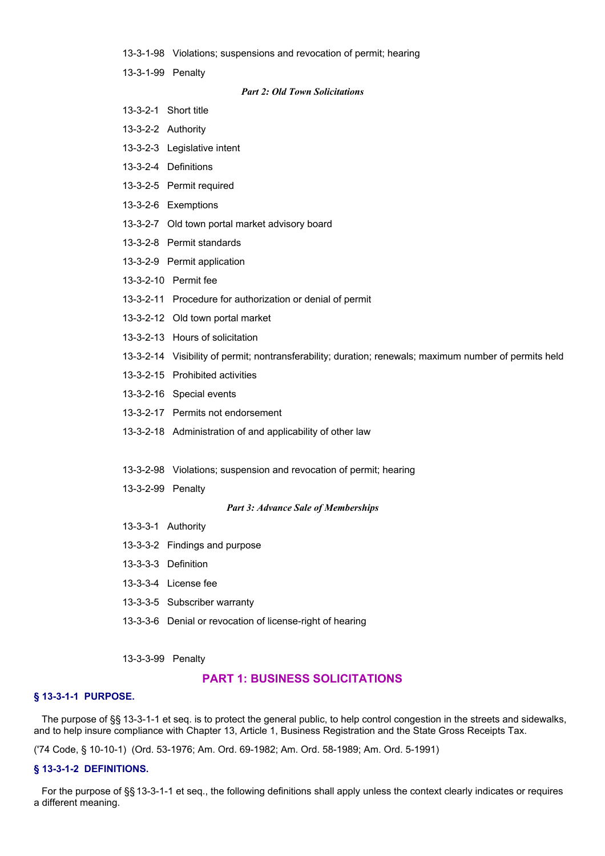- 13-3-1-98 Violations; suspensions and revocation of permit; hearing
- 13-3-1-99 Penalty

#### *Part 2: Old Town Solicitations*

- 13-3-2-1 Short title
- 13-3-2-2 Authority
- 13-3-2-3 Legislative intent
- 13-3-2-4 Definitions
- 13-3-2-5 Permit required
- 13-3-2-6 Exemptions
- 13-3-2-7 Old town portal market advisory board
- 13-3-2-8 Permit standards
- 13-3-2-9 Permit application
- 13-3-2-10 Permit fee
- 13-3-2-11 Procedure for authorization or denial of permit
- 13-3-2-12 Old town portal market
- 13-3-2-13 Hours of solicitation
- 13-3-2-14 Visibility of permit; nontransferability; duration; renewals; maximum number of permits held
- 13-3-2-15 Prohibited activities
- 13-3-2-16 Special events
- 13-3-2-17 Permits not endorsement
- 13-3-2-18 Administration of and applicability of other law
- 13-3-2-98 Violations; suspension and revocation of permit; hearing
- 13-3-2-99 Penalty

#### *Part 3: Advance Sale of Memberships*

- 13-3-3-1 Authority
- 13-3-3-2 Findings and purpose
- 13-3-3-3 Definition
- 13-3-3-4 License fee
- 13-3-3-5 Subscriber warranty
- 13-3-3-6 Denial or revocation of license-right of hearing
- 13-3-3-99 Penalty

# **PART 1: BUSINESS SOLICITATIONS**

# **§ 13-3-1-1 PURPOSE.**

The purpose of §§ 13-3-1-1 et seq. is to protect the general public, to help control congestion in the streets and sidewalks, and to help insure compliance with Chapter 13, Article 1, Business Registration and the State Gross Receipts Tax.

('74 Code, § 10-10-1) (Ord. 53-1976; Am. Ord. 69-1982; Am. Ord. 58-1989; Am. Ord. 5-1991)

## **§ 13-3-1-2 DEFINITIONS.**

For the purpose of §§ 13-3-1-1 et seq., the following definitions shall apply unless the context clearly indicates or requires a different meaning.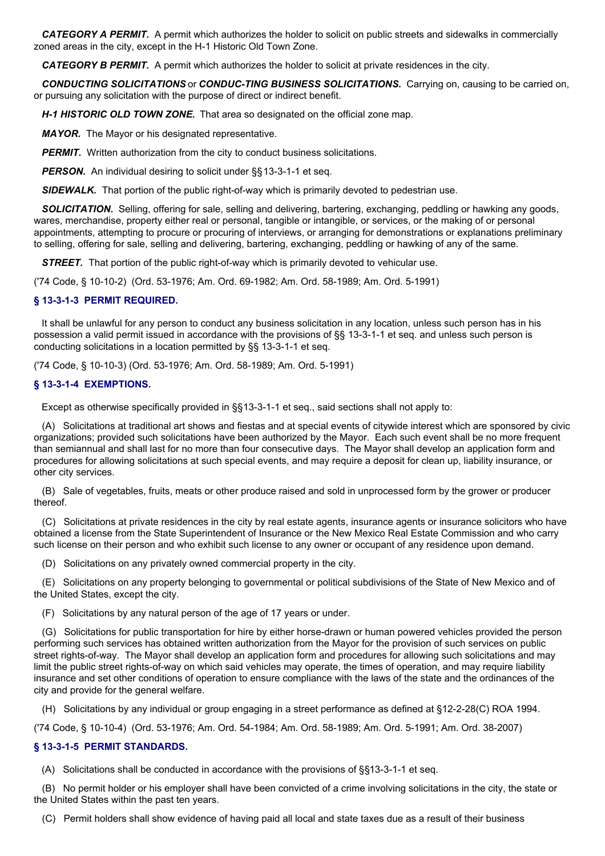*CATEGORY A PERMIT.* A permit which authorizes the holder to solicit on public streets and sidewalks in commercially zoned areas in the city, except in the H-1 Historic Old Town Zone.

**CATEGORY B PERMIT.** A permit which authorizes the holder to solicit at private residences in the city.

*CONDUCTING SOLICITATIONS* or *CONDUC-TING BUSINESS SOLICITATIONS.* Carrying on, causing to be carried on, or pursuing any solicitation with the purpose of direct or indirect benefit.

*H-1 HISTORIC OLD TOWN ZONE.* That area so designated on the official zone map.

*MAYOR.* The Mayor or his designated representative.

*PERMIT.* Written authorization from the city to conduct business solicitations.

**PERSON.** An individual desiring to solicit under §§13-3-1-1 et seq.

**SIDEWALK.** That portion of the public right-of-way which is primarily devoted to pedestrian use.

*SOLICITATION.* Selling, offering for sale, selling and delivering, bartering, exchanging, peddling or hawking any goods, wares, merchandise, property either real or personal, tangible or intangible, or services, or the making of or personal appointments, attempting to procure or procuring of interviews, or arranging for demonstrations or explanations preliminary to selling, offering for sale, selling and delivering, bartering, exchanging, peddling or hawking of any of the same.

**STREET.** That portion of the public right-of-way which is primarily devoted to vehicular use.

('74 Code, § 10-10-2) (Ord. 53-1976; Am. Ord. 69-1982; Am. Ord. 58-1989; Am. Ord. 5-1991)

# **§ 13-3-1-3 PERMIT REQUIRED.**

It shall be unlawful for any person to conduct any business solicitation in any location, unless such person has in his possession a valid permit issued in accordance with the provisions of §§ 13-3-1-1 et seq. and unless such person is conducting solicitations in a location permitted by §§ 13-3-1-1 et seq.

('74 Code, § 10-10-3) (Ord. 53-1976; Am. Ord. 58-1989; Am. Ord. 5-1991)

# **§ 13-3-1-4 EXEMPTIONS.**

Except as otherwise specifically provided in §§13-3-1-1 et seq., said sections shall not apply to:

(A) Solicitations at traditional art shows and fiestas and at special events of citywide interest which are sponsored by civic organizations; provided such solicitations have been authorized by the Mayor. Each such event shall be no more frequent than semiannual and shall last for no more than four consecutive days. The Mayor shall develop an application form and procedures for allowing solicitations at such special events, and may require a deposit for clean up, liability insurance, or other city services.

(B) Sale of vegetables, fruits, meats or other produce raised and sold in unprocessed form by the grower or producer thereof.

(C) Solicitations at private residences in the city by real estate agents, insurance agents or insurance solicitors who have obtained a license from the State Superintendent of Insurance or the New Mexico Real Estate Commission and who carry such license on their person and who exhibit such license to any owner or occupant of any residence upon demand.

(D) Solicitations on any privately owned commercial property in the city.

(E) Solicitations on any property belonging to governmental or political subdivisions of the State of New Mexico and of the United States, except the city.

(F) Solicitations by any natural person of the age of 17 years or under.

(G) Solicitations for public transportation for hire by either horse-drawn or human powered vehicles provided the person performing such services has obtained written authorization from the Mayor for the provision of such services on public street rights-of-way. The Mayor shall develop an application form and procedures for allowing such solicitations and may limit the public street rights-of-way on which said vehicles may operate, the times of operation, and may require liability insurance and set other conditions of operation to ensure compliance with the laws of the state and the ordinances of the city and provide for the general welfare.

(H) Solicitations by any individual or group engaging in a street performance as defined at §12-2-28(C) ROA 1994.

('74 Code, § 10-10-4) (Ord. 53-1976; Am. Ord. 54-1984; Am. Ord. 58-1989; Am. Ord. 5-1991; Am. Ord. 38-2007)

# **§ 13-3-1-5 PERMIT STANDARDS.**

(A) Solicitations shall be conducted in accordance with the provisions of §§13-3-1-1 et seq.

(B) No permit holder or his employer shall have been convicted of a crime involving solicitations in the city, the state or the United States within the past ten years.

(C) Permit holders shall show evidence of having paid all local and state taxes due as a result of their business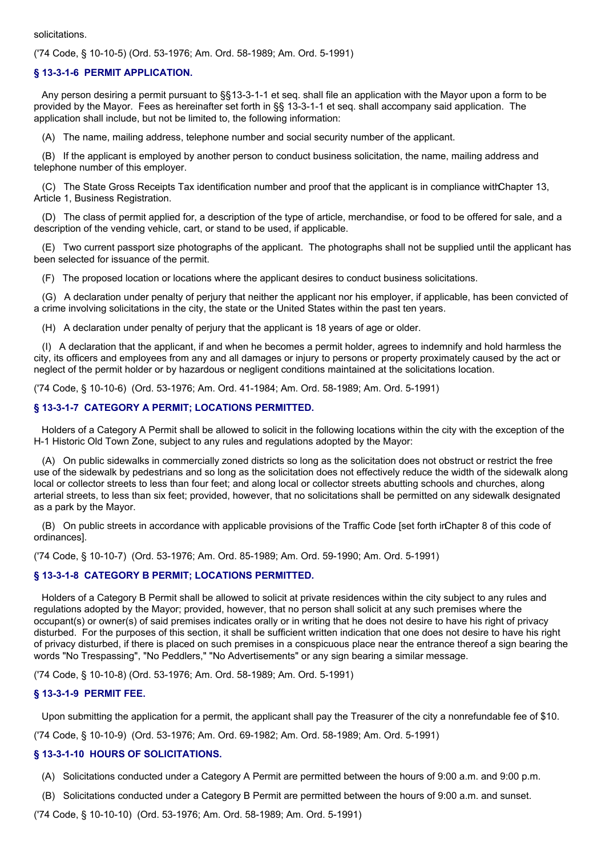#### solicitations.

('74 Code, § 10-10-5) (Ord. 53-1976; Am. Ord. 58-1989; Am. Ord. 5-1991)

# **§ 13-3-1-6 PERMIT APPLICATION.**

Any person desiring a permit pursuant to §§13-3-1-1 et seq. shall file an application with the Mayor upon a form to be provided by the Mayor. Fees as hereinafter set forth in §§ 13-3-1-1 et seq. shall accompany said application. The application shall include, but not be limited to, the following information:

(A) The name, mailing address, telephone number and social security number of the applicant.

(B) If the applicant is employed by another person to conduct business solicitation, the name, mailing address and telephone number of this employer.

(C) The State Gross Receipts Tax identification number and proof that the applicant is in compliance withChapter 13, Article 1, Business Registration.

(D) The class of permit applied for, a description of the type of article, merchandise, or food to be offered for sale, and a description of the vending vehicle, cart, or stand to be used, if applicable.

(E) Two current passport size photographs of the applicant. The photographs shall not be supplied until the applicant has been selected for issuance of the permit.

(F) The proposed location or locations where the applicant desires to conduct business solicitations.

(G) A declaration under penalty of perjury that neither the applicant nor his employer, if applicable, has been convicted of a crime involving solicitations in the city, the state or the United States within the past ten years.

(H) A declaration under penalty of perjury that the applicant is 18 years of age or older.

(I) A declaration that the applicant, if and when he becomes a permit holder, agrees to indemnify and hold harmless the city, its officers and employees from any and all damages or injury to persons or property proximately caused by the act or neglect of the permit holder or by hazardous or negligent conditions maintained at the solicitations location.

('74 Code, § 10-10-6) (Ord. 53-1976; Am. Ord. 41-1984; Am. Ord. 58-1989; Am. Ord. 5-1991)

# **§ 13-3-1-7 CATEGORY A PERMIT; LOCATIONS PERMITTED.**

Holders of a Category A Permit shall be allowed to solicit in the following locations within the city with the exception of the H-1 Historic Old Town Zone, subject to any rules and regulations adopted by the Mayor:

(A) On public sidewalks in commercially zoned districts so long as the solicitation does not obstruct or restrict the free use of the sidewalk by pedestrians and so long as the solicitation does not effectively reduce the width of the sidewalk along local or collector streets to less than four feet; and along local or collector streets abutting schools and churches, along arterial streets, to less than six feet; provided, however, that no solicitations shall be permitted on any sidewalk designated as a park by the Mayor.

(B) On public streets in accordance with applicable provisions of the Traffic Code [set forth inChapter 8 of this code of ordinances].

('74 Code, § 10-10-7) (Ord. 53-1976; Am. Ord. 85-1989; Am. Ord. 59-1990; Am. Ord. 5-1991)

# **§ 13-3-1-8 CATEGORY B PERMIT; LOCATIONS PERMITTED.**

Holders of a Category B Permit shall be allowed to solicit at private residences within the city subject to any rules and regulations adopted by the Mayor; provided, however, that no person shall solicit at any such premises where the occupant(s) or owner(s) of said premises indicates orally or in writing that he does not desire to have his right of privacy disturbed. For the purposes of this section, it shall be sufficient written indication that one does not desire to have his right of privacy disturbed, if there is placed on such premises in a conspicuous place near the entrance thereof a sign bearing the words "No Trespassing", "No Peddlers," "No Advertisements" or any sign bearing a similar message.

('74 Code, § 10-10-8) (Ord. 53-1976; Am. Ord. 58-1989; Am. Ord. 5-1991)

# **§ 13-3-1-9 PERMIT FEE.**

Upon submitting the application for a permit, the applicant shall pay the Treasurer of the city a nonrefundable fee of \$10.

('74 Code, § 10-10-9) (Ord. 53-1976; Am. Ord. 69-1982; Am. Ord. 58-1989; Am. Ord. 5-1991)

# **§ 13-3-1-10 HOURS OF SOLICITATIONS.**

- (A) Solicitations conducted under a Category A Permit are permitted between the hours of 9:00 a.m. and 9:00 p.m.
- (B) Solicitations conducted under a Category B Permit are permitted between the hours of 9:00 a.m. and sunset.

('74 Code, § 10-10-10) (Ord. 53-1976; Am. Ord. 58-1989; Am. Ord. 5-1991)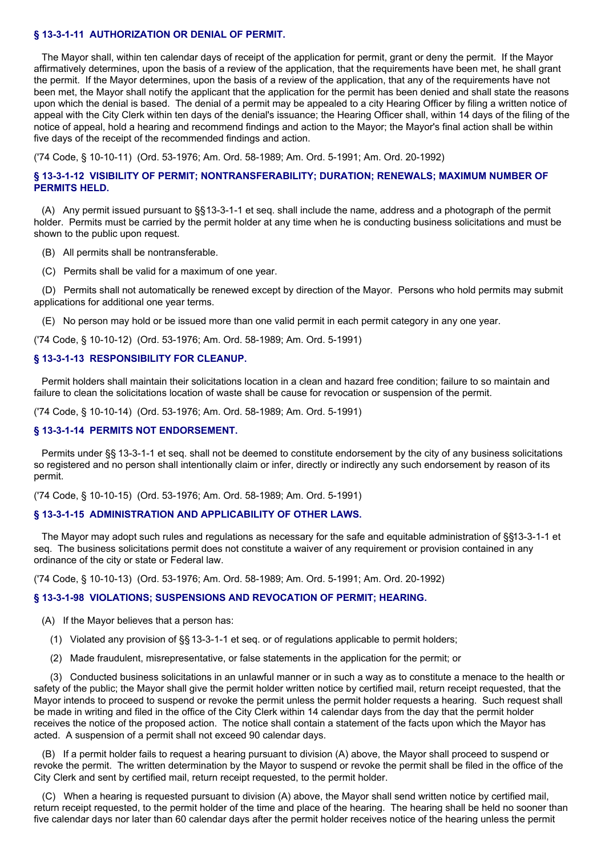# **§ 13-3-1-11 AUTHORIZATION OR DENIAL OF PERMIT.**

The Mayor shall, within ten calendar days of receipt of the application for permit, grant or deny the permit. If the Mayor affirmatively determines, upon the basis of a review of the application, that the requirements have been met, he shall grant the permit. If the Mayor determines, upon the basis of a review of the application, that any of the requirements have not been met, the Mayor shall notify the applicant that the application for the permit has been denied and shall state the reasons upon which the denial is based. The denial of a permit may be appealed to a city Hearing Officer by filing a written notice of appeal with the City Clerk within ten days of the denial's issuance; the Hearing Officer shall, within 14 days of the filing of the notice of appeal, hold a hearing and recommend findings and action to the Mayor; the Mayor's final action shall be within five days of the receipt of the recommended findings and action.

('74 Code, § 10-10-11) (Ord. 53-1976; Am. Ord. 58-1989; Am. Ord. 5-1991; Am. Ord. 20-1992)

# **§ 13-3-1-12 VISIBILITY OF PERMIT; NONTRANSFERABILITY; DURATION; RENEWALS; MAXIMUM NUMBER OF PERMITS HELD.**

(A) Any permit issued pursuant to §§13-3-1-1 et seq. shall include the name, address and a photograph of the permit holder. Permits must be carried by the permit holder at any time when he is conducting business solicitations and must be shown to the public upon request.

(B) All permits shall be nontransferable.

(C) Permits shall be valid for a maximum of one year.

(D) Permits shall not automatically be renewed except by direction of the Mayor. Persons who hold permits may submit applications for additional one year terms.

(E) No person may hold or be issued more than one valid permit in each permit category in any one year.

('74 Code, § 10-10-12) (Ord. 53-1976; Am. Ord. 58-1989; Am. Ord. 5-1991)

### **§ 13-3-1-13 RESPONSIBILITY FOR CLEANUP.**

Permit holders shall maintain their solicitations location in a clean and hazard free condition; failure to so maintain and failure to clean the solicitations location of waste shall be cause for revocation or suspension of the permit.

('74 Code, § 10-10-14) (Ord. 53-1976; Am. Ord. 58-1989; Am. Ord. 5-1991)

### **§ 13-3-1-14 PERMITS NOT ENDORSEMENT.**

Permits under §§ 13-3-1-1 et seq. shall not be deemed to constitute endorsement by the city of any business solicitations so registered and no person shall intentionally claim or infer, directly or indirectly any such endorsement by reason of its permit.

('74 Code, § 10-10-15) (Ord. 53-1976; Am. Ord. 58-1989; Am. Ord. 5-1991)

#### **§ 13-3-1-15 ADMINISTRATION AND APPLICABILITY OF OTHER LAWS.**

The Mayor may adopt such rules and regulations as necessary for the safe and equitable administration of §§13-3-1-1 et seq. The business solicitations permit does not constitute a waiver of any requirement or provision contained in any ordinance of the city or state or Federal law.

('74 Code, § 10-10-13) (Ord. 53-1976; Am. Ord. 58-1989; Am. Ord. 5-1991; Am. Ord. 20-1992)

### **§ 13-3-1-98 VIOLATIONS; SUSPENSIONS AND REVOCATION OF PERMIT; HEARING.**

- (A) If the Mayor believes that a person has:
	- (1) Violated any provision of §§13-3-1-1 et seq. or of regulations applicable to permit holders;
	- (2) Made fraudulent, misrepresentative, or false statements in the application for the permit; or

(3) Conducted business solicitations in an unlawful manner or in such a way as to constitute a menace to the health or safety of the public; the Mayor shall give the permit holder written notice by certified mail, return receipt requested, that the Mayor intends to proceed to suspend or revoke the permit unless the permit holder requests a hearing. Such request shall be made in writing and filed in the office of the City Clerk within 14 calendar days from the day that the permit holder receives the notice of the proposed action. The notice shall contain a statement of the facts upon which the Mayor has acted. A suspension of a permit shall not exceed 90 calendar days.

(B) If a permit holder fails to request a hearing pursuant to division (A) above, the Mayor shall proceed to suspend or revoke the permit. The written determination by the Mayor to suspend or revoke the permit shall be filed in the office of the City Clerk and sent by certified mail, return receipt requested, to the permit holder.

(C) When a hearing is requested pursuant to division (A) above, the Mayor shall send written notice by certified mail, return receipt requested, to the permit holder of the time and place of the hearing. The hearing shall be held no sooner than five calendar days nor later than 60 calendar days after the permit holder receives notice of the hearing unless the permit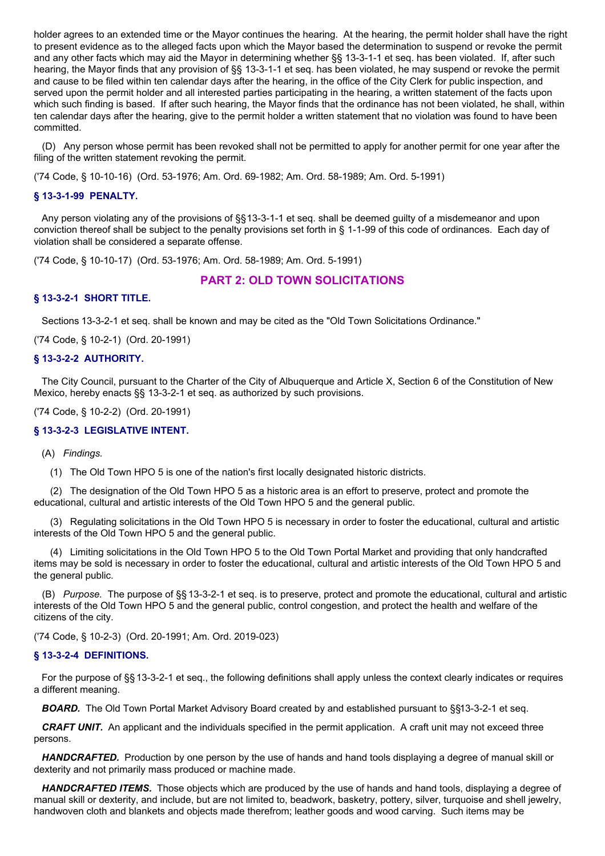holder agrees to an extended time or the Mayor continues the hearing. At the hearing, the permit holder shall have the right to present evidence as to the alleged facts upon which the Mayor based the determination to suspend or revoke the permit and any other facts which may aid the Mayor in determining whether §§ 13-3-1-1 et seq. has been violated. If, after such hearing, the Mayor finds that any provision of §§ 13-3-1-1 et seq. has been violated, he may suspend or revoke the permit and cause to be filed within ten calendar days after the hearing, in the office of the City Clerk for public inspection, and served upon the permit holder and all interested parties participating in the hearing, a written statement of the facts upon which such finding is based. If after such hearing, the Mayor finds that the ordinance has not been violated, he shall, within ten calendar days after the hearing, give to the permit holder a written statement that no violation was found to have been committed.

(D) Any person whose permit has been revoked shall not be permitted to apply for another permit for one year after the filing of the written statement revoking the permit.

('74 Code, § 10-10-16) (Ord. 53-1976; Am. Ord. 69-1982; Am. Ord. 58-1989; Am. Ord. 5-1991)

## **§ 13-3-1-99 PENALTY.**

Any person violating any of the provisions of §§13-3-1-1 et seq. shall be deemed guilty of a misdemeanor and upon conviction thereof shall be subject to the penalty provisions set forth in § 1-1-99 of this code of ordinances. Each day of violation shall be considered a separate offense.

('74 Code, § 10-10-17) (Ord. 53-1976; Am. Ord. 58-1989; Am. Ord. 5-1991)

# **PART 2: OLD TOWN SOLICITATIONS**

#### **§ 13-3-2-1 SHORT TITLE.**

Sections 13-3-2-1 et seq. shall be known and may be cited as the "Old Town Solicitations Ordinance."

('74 Code, § 10-2-1) (Ord. 20-1991)

#### **§ 13-3-2-2 AUTHORITY.**

The City Council, pursuant to the Charter of the City of Albuquerque and Article X, Section 6 of the Constitution of New Mexico, hereby enacts §§ 13-3-2-1 et seq. as authorized by such provisions.

('74 Code, § 10-2-2) (Ord. 20-1991)

# **§ 13-3-2-3 LEGISLATIVE INTENT.**

(A) *Findings.*

(1) The Old Town HPO 5 is one of the nation's first locally designated historic districts.

(2) The designation of the Old Town HPO 5 as a historic area is an effort to preserve, protect and promote the educational, cultural and artistic interests of the Old Town HPO 5 and the general public.

(3) Regulating solicitations in the Old Town HPO 5 is necessary in order to foster the educational, cultural and artistic interests of the Old Town HPO 5 and the general public.

(4) Limiting solicitations in the Old Town HPO 5 to the Old Town Portal Market and providing that only handcrafted items may be sold is necessary in order to foster the educational, cultural and artistic interests of the Old Town HPO 5 and the general public.

(B) *Purpose.* The purpose of §§ 13-3-2-1 et seq. is to preserve, protect and promote the educational, cultural and artistic interests of the Old Town HPO 5 and the general public, control congestion, and protect the health and welfare of the citizens of the city.

('74 Code, § 10-2-3) (Ord. 20-1991; Am. Ord. 2019-023)

#### **§ 13-3-2-4 DEFINITIONS.**

For the purpose of §§ 13-3-2-1 et seq., the following definitions shall apply unless the context clearly indicates or requires a different meaning.

*BOARD.* The Old Town Portal Market Advisory Board created by and established pursuant to §§13-3-2-1 et seq.

*CRAFT UNIT.* An applicant and the individuals specified in the permit application. A craft unit may not exceed three persons.

*HANDCRAFTED.* Production by one person by the use of hands and hand tools displaying a degree of manual skill or dexterity and not primarily mass produced or machine made.

*HANDCRAFTED ITEMS.* Those objects which are produced by the use of hands and hand tools, displaying a degree of manual skill or dexterity, and include, but are not limited to, beadwork, basketry, pottery, silver, turquoise and shell jewelry, handwoven cloth and blankets and objects made therefrom; leather goods and wood carving. Such items may be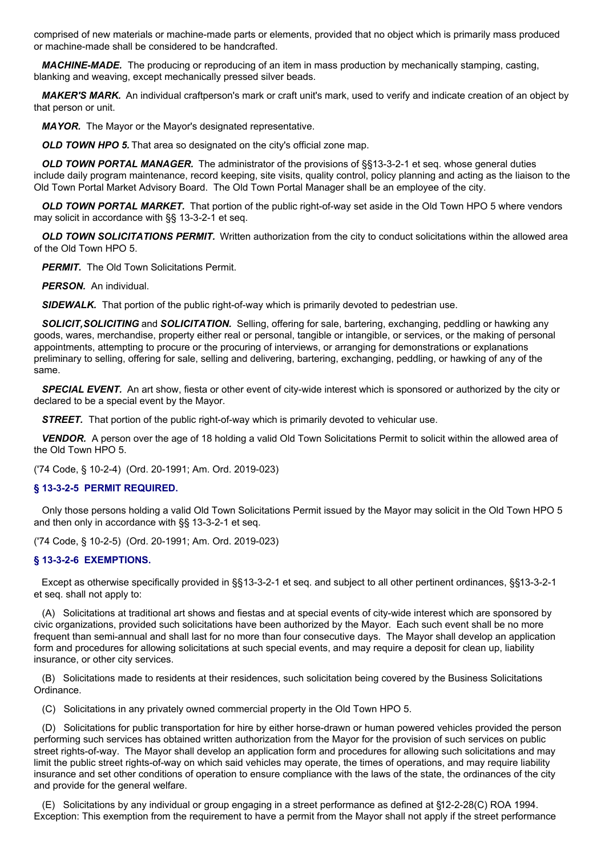comprised of new materials or machine-made parts or elements, provided that no object which is primarily mass produced or machine-made shall be considered to be handcrafted.

*MACHINE-MADE.* The producing or reproducing of an item in mass production by mechanically stamping, casting, blanking and weaving, except mechanically pressed silver beads.

*MAKER'S MARK.* An individual craftperson's mark or craft unit's mark, used to verify and indicate creation of an object by that person or unit.

*MAYOR.* The Mayor or the Mayor's designated representative.

*OLD TOWN HPO 5.* That area so designated on the city's official zone map.

*OLD TOWN PORTAL MANAGER.* The administrator of the provisions of §§13-3-2-1 et seq. whose general duties include daily program maintenance, record keeping, site visits, quality control, policy planning and acting as the liaison to the Old Town Portal Market Advisory Board. The Old Town Portal Manager shall be an employee of the city.

*OLD TOWN PORTAL MARKET.* That portion of the public right-of-way set aside in the Old Town HPO 5 where vendors may solicit in accordance with §§ 13-3-2-1 et seq.

*OLD TOWN SOLICITATIONS PERMIT.* Written authorization from the city to conduct solicitations within the allowed area of the Old Town HPO 5.

**PERMIT.** The Old Town Solicitations Permit.

*PERSON.* An individual.

*SIDEWALK.* That portion of the public right-of-way which is primarily devoted to pedestrian use.

*SOLICIT,SOLICITING* and *SOLICITATION.* Selling, offering for sale, bartering, exchanging, peddling or hawking any goods, wares, merchandise, property either real or personal, tangible or intangible, or services, or the making of personal appointments, attempting to procure or the procuring of interviews, or arranging for demonstrations or explanations preliminary to selling, offering for sale, selling and delivering, bartering, exchanging, peddling, or hawking of any of the same.

*SPECIAL EVENT.* An art show, fiesta or other event of city-wide interest which is sponsored or authorized by the city or declared to be a special event by the Mayor.

**STREET.** That portion of the public right-of-way which is primarily devoted to vehicular use.

**VENDOR.** A person over the age of 18 holding a valid Old Town Solicitations Permit to solicit within the allowed area of the Old Town HPO 5.

('74 Code, § 10-2-4) (Ord. 20-1991; Am. Ord. 2019-023)

### **§ 13-3-2-5 PERMIT REQUIRED.**

Only those persons holding a valid Old Town Solicitations Permit issued by the Mayor may solicit in the Old Town HPO 5 and then only in accordance with §§ 13-3-2-1 et seq.

('74 Code, § 10-2-5) (Ord. 20-1991; Am. Ord. 2019-023)

# **§ 13-3-2-6 EXEMPTIONS.**

Except as otherwise specifically provided in §§13-3-2-1 et seq. and subject to all other pertinent ordinances, §§13-3-2-1 et seq. shall not apply to:

(A) Solicitations at traditional art shows and fiestas and at special events of city-wide interest which are sponsored by civic organizations, provided such solicitations have been authorized by the Mayor. Each such event shall be no more frequent than semi-annual and shall last for no more than four consecutive days. The Mayor shall develop an application form and procedures for allowing solicitations at such special events, and may require a deposit for clean up, liability insurance, or other city services.

(B) Solicitations made to residents at their residences, such solicitation being covered by the Business Solicitations Ordinance.

(C) Solicitations in any privately owned commercial property in the Old Town HPO 5.

(D) Solicitations for public transportation for hire by either horse-drawn or human powered vehicles provided the person performing such services has obtained written authorization from the Mayor for the provision of such services on public street rights-of-way. The Mayor shall develop an application form and procedures for allowing such solicitations and may limit the public street rights-of-way on which said vehicles may operate, the times of operations, and may require liability insurance and set other conditions of operation to ensure compliance with the laws of the state, the ordinances of the city and provide for the general welfare.

(E) Solicitations by any individual or group engaging in a street performance as defined at §12-2-28(C) ROA 1994. Exception: This exemption from the requirement to have a permit from the Mayor shall not apply if the street performance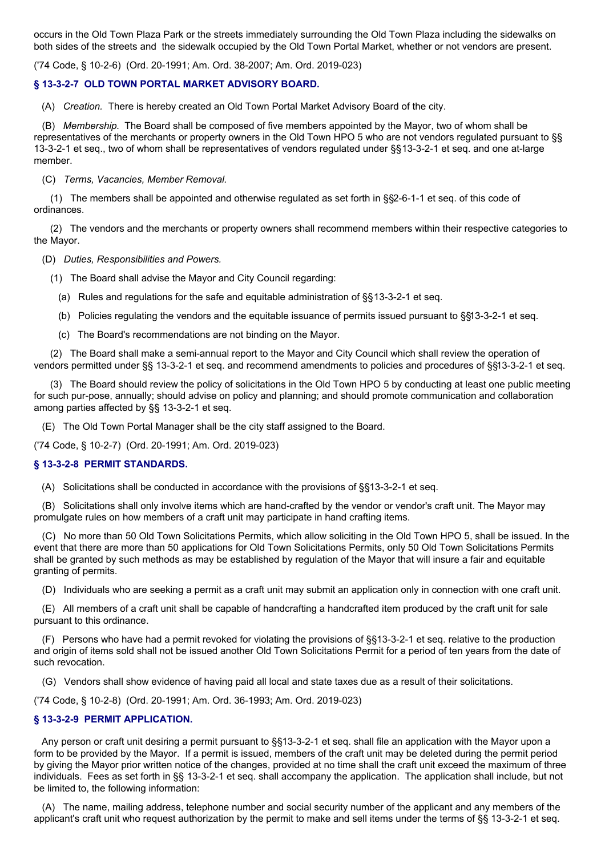occurs in the Old Town Plaza Park or the streets immediately surrounding the Old Town Plaza including the sidewalks on both sides of the streets and the sidewalk occupied by the Old Town Portal Market, whether or not vendors are present.

('74 Code, § 10-2-6) (Ord. 20-1991; Am. Ord. 38-2007; Am. Ord. 2019-023)

# **§ 13-3-2-7 OLD TOWN PORTAL MARKET ADVISORY BOARD.**

(A) *Creation.* There is hereby created an Old Town Portal Market Advisory Board of the city.

(B) *Membership.* The Board shall be composed of five members appointed by the Mayor, two of whom shall be representatives of the merchants or property owners in the Old Town HPO 5 who are not vendors regulated pursuant to §§ 13-3-2-1 et seq., two of whom shall be representatives of vendors regulated under §§13-3-2-1 et seq. and one at-large member.

(C) *Terms, Vacancies, Member Removal.*

(1) The members shall be appointed and otherwise regulated as set forth in §§2-6-1-1 et seq. of this code of ordinances.

(2) The vendors and the merchants or property owners shall recommend members within their respective categories to the Mayor.

(D) *Duties, Responsibilities and Powers.*

- (1) The Board shall advise the Mayor and City Council regarding:
	- (a) Rules and regulations for the safe and equitable administration of §§13-3-2-1 et seq.
	- (b) Policies regulating the vendors and the equitable issuance of permits issued pursuant to §§13-3-2-1 et seq.
	- (c) The Board's recommendations are not binding on the Mayor.

(2) The Board shall make a semi-annual report to the Mayor and City Council which shall review the operation of vendors permitted under §§ 13-3-2-1 et seq. and recommend amendments to policies and procedures of §§13-3-2-1 et seq.

(3) The Board should review the policy of solicitations in the Old Town HPO 5 by conducting at least one public meeting for such pur-pose, annually; should advise on policy and planning; and should promote communication and collaboration among parties affected by §§ 13-3-2-1 et seq.

(E) The Old Town Portal Manager shall be the city staff assigned to the Board.

('74 Code, § 10-2-7) (Ord. 20-1991; Am. Ord. 2019-023)

### **§ 13-3-2-8 PERMIT STANDARDS.**

(A) Solicitations shall be conducted in accordance with the provisions of §§13-3-2-1 et seq.

(B) Solicitations shall only involve items which are hand-crafted by the vendor or vendor's craft unit. The Mayor may promulgate rules on how members of a craft unit may participate in hand crafting items.

(C) No more than 50 Old Town Solicitations Permits, which allow soliciting in the Old Town HPO 5, shall be issued. In the event that there are more than 50 applications for Old Town Solicitations Permits, only 50 Old Town Solicitations Permits shall be granted by such methods as may be established by regulation of the Mayor that will insure a fair and equitable granting of permits.

(D) Individuals who are seeking a permit as a craft unit may submit an application only in connection with one craft unit.

(E) All members of a craft unit shall be capable of handcrafting a handcrafted item produced by the craft unit for sale pursuant to this ordinance.

(F) Persons who have had a permit revoked for violating the provisions of §§13-3-2-1 et seq. relative to the production and origin of items sold shall not be issued another Old Town Solicitations Permit for a period of ten years from the date of such revocation.

(G) Vendors shall show evidence of having paid all local and state taxes due as a result of their solicitations.

('74 Code, § 10-2-8) (Ord. 20-1991; Am. Ord. 36-1993; Am. Ord. 2019-023)

# **§ 13-3-2-9 PERMIT APPLICATION.**

Any person or craft unit desiring a permit pursuant to §§13-3-2-1 et seq. shall file an application with the Mayor upon a form to be provided by the Mayor. If a permit is issued, members of the craft unit may be deleted during the permit period by giving the Mayor prior written notice of the changes, provided at no time shall the craft unit exceed the maximum of three individuals. Fees as set forth in §§ 13-3-2-1 et seq. shall accompany the application. The application shall include, but not be limited to, the following information:

(A) The name, mailing address, telephone number and social security number of the applicant and any members of the applicant's craft unit who request authorization by the permit to make and sell items under the terms of §§ 13-3-2-1 et seq.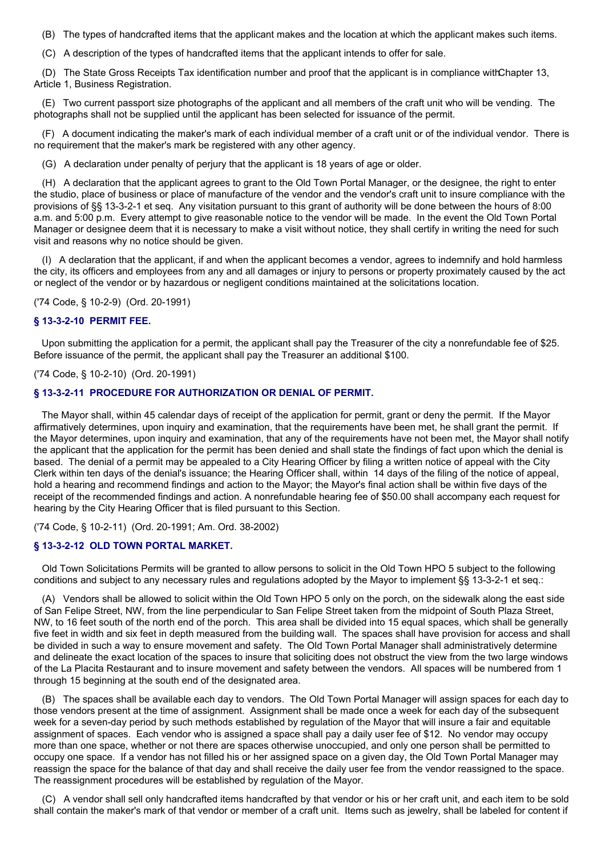(B) The types of handcrafted items that the applicant makes and the location at which the applicant makes such items.

(C) A description of the types of handcrafted items that the applicant intends to offer for sale.

(D) The State Gross Receipts Tax identification number and proof that the applicant is in compliance withChapter 13, Article 1, Business Registration.

(E) Two current passport size photographs of the applicant and all members of the craft unit who will be vending. The photographs shall not be supplied until the applicant has been selected for issuance of the permit.

(F) A document indicating the maker's mark of each individual member of a craft unit or of the individual vendor. There is no requirement that the maker's mark be registered with any other agency.

(G) A declaration under penalty of perjury that the applicant is 18 years of age or older.

(H) A declaration that the applicant agrees to grant to the Old Town Portal Manager, or the designee, the right to enter the studio, place of business or place of manufacture of the vendor and the vendor's craft unit to insure compliance with the provisions of §§ 13-3-2-1 et seq. Any visitation pursuant to this grant of authority will be done between the hours of 8:00 a.m. and 5:00 p.m. Every attempt to give reasonable notice to the vendor will be made. In the event the Old Town Portal Manager or designee deem that it is necessary to make a visit without notice, they shall certify in writing the need for such visit and reasons why no notice should be given.

(I) A declaration that the applicant, if and when the applicant becomes a vendor, agrees to indemnify and hold harmless the city, its officers and employees from any and all damages or injury to persons or property proximately caused by the act or neglect of the vendor or by hazardous or negligent conditions maintained at the solicitations location.

('74 Code, § 10-2-9) (Ord. 20-1991)

# **§ 13-3-2-10 PERMIT FEE.**

Upon submitting the application for a permit, the applicant shall pay the Treasurer of the city a nonrefundable fee of \$25. Before issuance of the permit, the applicant shall pay the Treasurer an additional \$100.

('74 Code, § 10-2-10) (Ord. 20-1991)

#### **§ 13-3-2-11 PROCEDURE FOR AUTHORIZATION OR DENIAL OF PERMIT.**

The Mayor shall, within 45 calendar days of receipt of the application for permit, grant or deny the permit. If the Mayor affirmatively determines, upon inquiry and examination, that the requirements have been met, he shall grant the permit. If the Mayor determines, upon inquiry and examination, that any of the requirements have not been met, the Mayor shall notify the applicant that the application for the permit has been denied and shall state the findings of fact upon which the denial is based. The denial of a permit may be appealed to a City Hearing Officer by filing a written notice of appeal with the City Clerk within ten days of the denial's issuance; the Hearing Officer shall, within 14 days of the filing of the notice of appeal, hold a hearing and recommend findings and action to the Mayor; the Mayor's final action shall be within five days of the receipt of the recommended findings and action. A nonrefundable hearing fee of \$50.00 shall accompany each request for hearing by the City Hearing Officer that is filed pursuant to this Section.

('74 Code, § 10-2-11) (Ord. 20-1991; Am. Ord. 38-2002)

### **§ 13-3-2-12 OLD TOWN PORTAL MARKET.**

Old Town Solicitations Permits will be granted to allow persons to solicit in the Old Town HPO 5 subject to the following conditions and subject to any necessary rules and regulations adopted by the Mayor to implement §§ 13-3-2-1 et seq.:

(A) Vendors shall be allowed to solicit within the Old Town HPO 5 only on the porch, on the sidewalk along the east side of San Felipe Street, NW, from the line perpendicular to San Felipe Street taken from the midpoint of South Plaza Street, NW, to 16 feet south of the north end of the porch. This area shall be divided into 15 equal spaces, which shall be generally five feet in width and six feet in depth measured from the building wall. The spaces shall have provision for access and shall be divided in such a way to ensure movement and safety. The Old Town Portal Manager shall administratively determine and delineate the exact location of the spaces to insure that soliciting does not obstruct the view from the two large windows of the La Placita Restaurant and to insure movement and safety between the vendors. All spaces will be numbered from 1 through 15 beginning at the south end of the designated area.

(B) The spaces shall be available each day to vendors. The Old Town Portal Manager will assign spaces for each day to those vendors present at the time of assignment. Assignment shall be made once a week for each day of the subsequent week for a seven-day period by such methods established by regulation of the Mayor that will insure a fair and equitable assignment of spaces. Each vendor who is assigned a space shall pay a daily user fee of \$12. No vendor may occupy more than one space, whether or not there are spaces otherwise unoccupied, and only one person shall be permitted to occupy one space. If a vendor has not filled his or her assigned space on a given day, the Old Town Portal Manager may reassign the space for the balance of that day and shall receive the daily user fee from the vendor reassigned to the space. The reassignment procedures will be established by regulation of the Mayor.

(C) A vendor shall sell only handcrafted items handcrafted by that vendor or his or her craft unit, and each item to be sold shall contain the maker's mark of that vendor or member of a craft unit. Items such as jewelry, shall be labeled for content if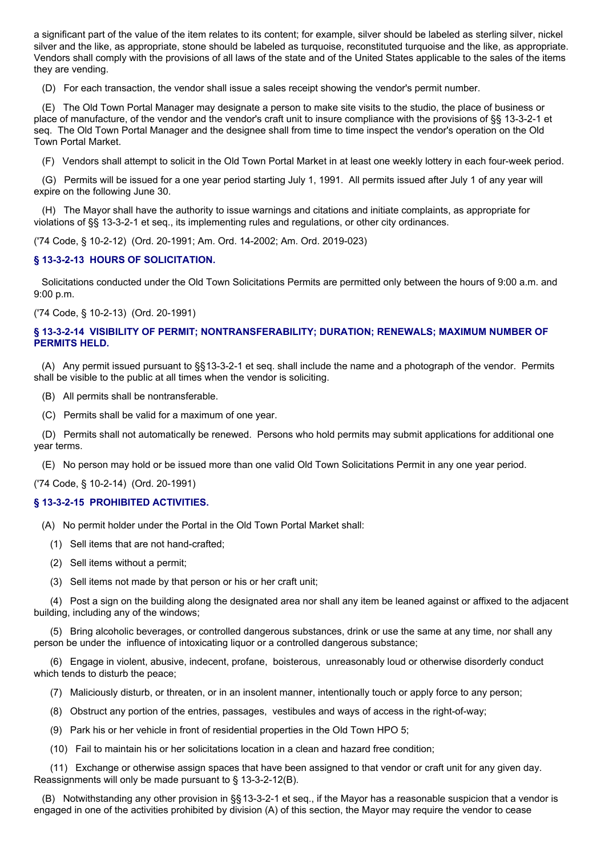a significant part of the value of the item relates to its content; for example, silver should be labeled as sterling silver, nickel silver and the like, as appropriate, stone should be labeled as turquoise, reconstituted turquoise and the like, as appropriate. Vendors shall comply with the provisions of all laws of the state and of the United States applicable to the sales of the items they are vending.

(D) For each transaction, the vendor shall issue a sales receipt showing the vendor's permit number.

(E) The Old Town Portal Manager may designate a person to make site visits to the studio, the place of business or place of manufacture, of the vendor and the vendor's craft unit to insure compliance with the provisions of §§ 13-3-2-1 et seq. The Old Town Portal Manager and the designee shall from time to time inspect the vendor's operation on the Old Town Portal Market.

(F) Vendors shall attempt to solicit in the Old Town Portal Market in at least one weekly lottery in each four-week period.

(G) Permits will be issued for a one year period starting July 1, 1991. All permits issued after July 1 of any year will expire on the following June 30.

(H) The Mayor shall have the authority to issue warnings and citations and initiate complaints, as appropriate for violations of §§ 13-3-2-1 et seq., its implementing rules and regulations, or other city ordinances.

('74 Code, § 10-2-12) (Ord. 20-1991; Am. Ord. 14-2002; Am. Ord. 2019-023)

# **§ 13-3-2-13 HOURS OF SOLICITATION.**

Solicitations conducted under the Old Town Solicitations Permits are permitted only between the hours of 9:00 a.m. and 9:00 p.m.

('74 Code, § 10-2-13) (Ord. 20-1991)

# **§ 13-3-2-14 VISIBILITY OF PERMIT; NONTRANSFERABILITY; DURATION; RENEWALS; MAXIMUM NUMBER OF PERMITS HELD.**

(A) Any permit issued pursuant to §§13-3-2-1 et seq. shall include the name and a photograph of the vendor. Permits shall be visible to the public at all times when the vendor is soliciting.

- (B) All permits shall be nontransferable.
- (C) Permits shall be valid for a maximum of one year.

(D) Permits shall not automatically be renewed. Persons who hold permits may submit applications for additional one year terms.

(E) No person may hold or be issued more than one valid Old Town Solicitations Permit in any one year period.

('74 Code, § 10-2-14) (Ord. 20-1991)

### **§ 13-3-2-15 PROHIBITED ACTIVITIES.**

(A) No permit holder under the Portal in the Old Town Portal Market shall:

- (1) Sell items that are not hand-crafted;
- (2) Sell items without a permit;
- (3) Sell items not made by that person or his or her craft unit;

(4) Post a sign on the building along the designated area nor shall any item be leaned against or affixed to the adjacent building, including any of the windows;

(5) Bring alcoholic beverages, or controlled dangerous substances, drink or use the same at any time, nor shall any person be under the influence of intoxicating liquor or a controlled dangerous substance;

(6) Engage in violent, abusive, indecent, profane, boisterous, unreasonably loud or otherwise disorderly conduct which tends to disturb the peace;

- (7) Maliciously disturb, or threaten, or in an insolent manner, intentionally touch or apply force to any person;
- (8) Obstruct any portion of the entries, passages, vestibules and ways of access in the right-of-way;
- (9) Park his or her vehicle in front of residential properties in the Old Town HPO 5;
- (10) Fail to maintain his or her solicitations location in a clean and hazard free condition;

(11) Exchange or otherwise assign spaces that have been assigned to that vendor or craft unit for any given day. Reassignments will only be made pursuant to § 13-3-2-12(B).

(B) Notwithstanding any other provision in §§13-3-2-1 et seq., if the Mayor has a reasonable suspicion that a vendor is engaged in one of the activities prohibited by division (A) of this section, the Mayor may require the vendor to cease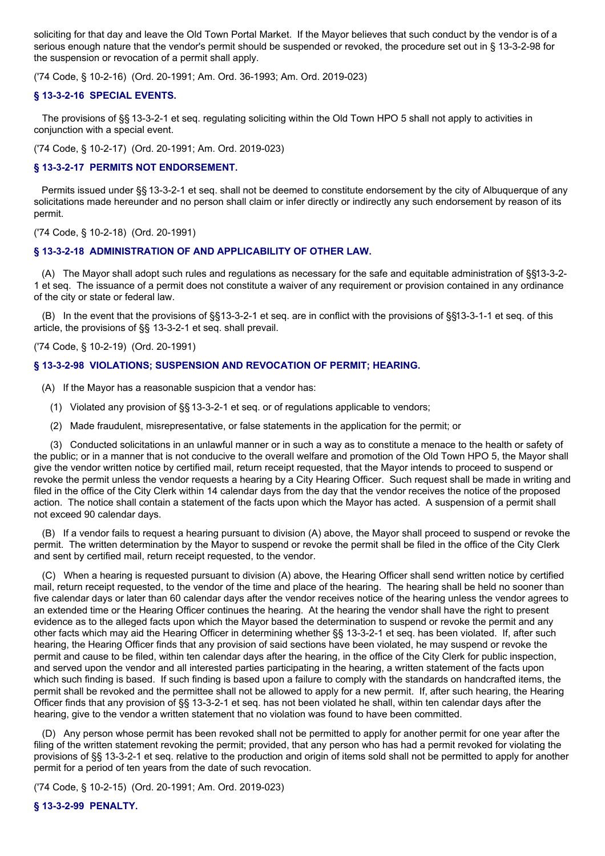soliciting for that day and leave the Old Town Portal Market. If the Mayor believes that such conduct by the vendor is of a serious enough nature that the vendor's permit should be suspended or revoked, the procedure set out in § 13-3-2-98 for the suspension or revocation of a permit shall apply.

('74 Code, § 10-2-16) (Ord. 20-1991; Am. Ord. 36-1993; Am. Ord. 2019-023)

# **§ 13-3-2-16 SPECIAL EVENTS.**

The provisions of §§ 13-3-2-1 et seq. regulating soliciting within the Old Town HPO 5 shall not apply to activities in conjunction with a special event.

('74 Code, § 10-2-17) (Ord. 20-1991; Am. Ord. 2019-023)

# **§ 13-3-2-17 PERMITS NOT ENDORSEMENT.**

Permits issued under §§ 13-3-2-1 et seq. shall not be deemed to constitute endorsement by the city of Albuquerque of any solicitations made hereunder and no person shall claim or infer directly or indirectly any such endorsement by reason of its permit.

('74 Code, § 10-2-18) (Ord. 20-1991)

# **§ 13-3-2-18 ADMINISTRATION OF AND APPLICABILITY OF OTHER LAW.**

(A) The Mayor shall adopt such rules and regulations as necessary for the safe and equitable administration of §§13-3-2- 1 et seq. The issuance of a permit does not constitute a waiver of any requirement or provision contained in any ordinance of the city or state or federal law.

(B) In the event that the provisions of §§13-3-2-1 et seq. are in conflict with the provisions of §§13-3-1-1 et seq. of this article, the provisions of §§ 13-3-2-1 et seq. shall prevail.

('74 Code, § 10-2-19) (Ord. 20-1991)

# **§ 13-3-2-98 VIOLATIONS; SUSPENSION AND REVOCATION OF PERMIT; HEARING.**

- (A) If the Mayor has a reasonable suspicion that a vendor has:
	- (1) Violated any provision of §§13-3-2-1 et seq. or of regulations applicable to vendors;
	- (2) Made fraudulent, misrepresentative, or false statements in the application for the permit; or

(3) Conducted solicitations in an unlawful manner or in such a way as to constitute a menace to the health or safety of the public; or in a manner that is not conducive to the overall welfare and promotion of the Old Town HPO 5, the Mayor shall give the vendor written notice by certified mail, return receipt requested, that the Mayor intends to proceed to suspend or revoke the permit unless the vendor requests a hearing by a City Hearing Officer. Such request shall be made in writing and filed in the office of the City Clerk within 14 calendar days from the day that the vendor receives the notice of the proposed action. The notice shall contain a statement of the facts upon which the Mayor has acted. A suspension of a permit shall not exceed 90 calendar days.

(B) If a vendor fails to request a hearing pursuant to division (A) above, the Mayor shall proceed to suspend or revoke the permit. The written determination by the Mayor to suspend or revoke the permit shall be filed in the office of the City Clerk and sent by certified mail, return receipt requested, to the vendor.

(C) When a hearing is requested pursuant to division (A) above, the Hearing Officer shall send written notice by certified mail, return receipt requested, to the vendor of the time and place of the hearing. The hearing shall be held no sooner than five calendar days or later than 60 calendar days after the vendor receives notice of the hearing unless the vendor agrees to an extended time or the Hearing Officer continues the hearing. At the hearing the vendor shall have the right to present evidence as to the alleged facts upon which the Mayor based the determination to suspend or revoke the permit and any other facts which may aid the Hearing Officer in determining whether §§ 13-3-2-1 et seq. has been violated. If, after such hearing, the Hearing Officer finds that any provision of said sections have been violated, he may suspend or revoke the permit and cause to be filed, within ten calendar days after the hearing, in the office of the City Clerk for public inspection, and served upon the vendor and all interested parties participating in the hearing, a written statement of the facts upon which such finding is based. If such finding is based upon a failure to comply with the standards on handcrafted items, the permit shall be revoked and the permittee shall not be allowed to apply for a new permit. If, after such hearing, the Hearing Officer finds that any provision of §§ 13-3-2-1 et seq. has not been violated he shall, within ten calendar days after the hearing, give to the vendor a written statement that no violation was found to have been committed.

(D) Any person whose permit has been revoked shall not be permitted to apply for another permit for one year after the filing of the written statement revoking the permit; provided, that any person who has had a permit revoked for violating the provisions of §§ 13-3-2-1 et seq. relative to the production and origin of items sold shall not be permitted to apply for another permit for a period of ten years from the date of such revocation.

('74 Code, § 10-2-15) (Ord. 20-1991; Am. Ord. 2019-023)

**§ 13-3-2-99 PENALTY.**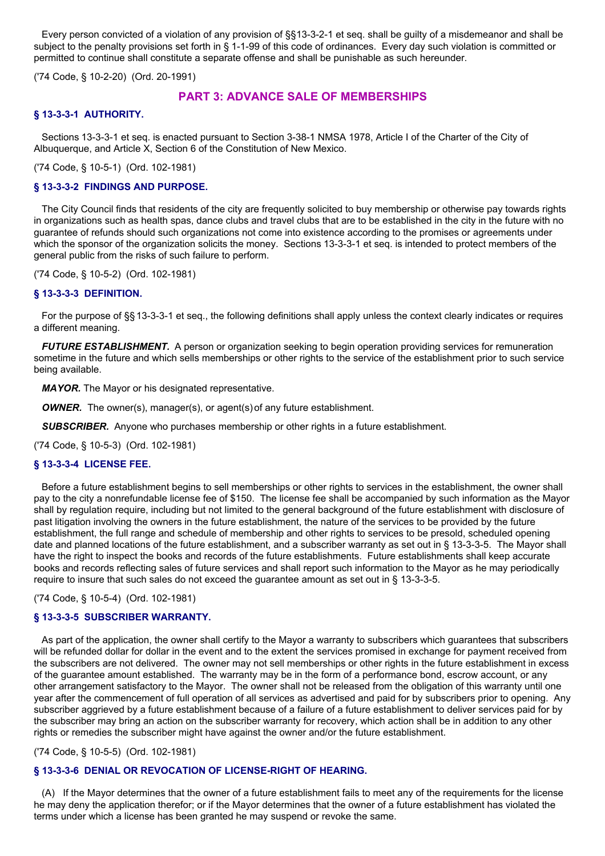Every person convicted of a violation of any provision of §§13-3-2-1 et seq. shall be guilty of a misdemeanor and shall be subject to the penalty provisions set forth in § 1-1-99 of this code of ordinances. Every day such violation is committed or permitted to continue shall constitute a separate offense and shall be punishable as such hereunder.

('74 Code, § 10-2-20) (Ord. 20-1991)

# **PART 3: ADVANCE SALE OF MEMBERSHIPS**

# **§ 13-3-3-1 AUTHORITY.**

Sections 13-3-3-1 et seq. is enacted pursuant to Section 3-38-1 NMSA 1978, Article I of the Charter of the City of Albuquerque, and Article X, Section 6 of the Constitution of New Mexico.

('74 Code, § 10-5-1) (Ord. 102-1981)

## **§ 13-3-3-2 FINDINGS AND PURPOSE.**

The City Council finds that residents of the city are frequently solicited to buy membership or otherwise pay towards rights in organizations such as health spas, dance clubs and travel clubs that are to be established in the city in the future with no guarantee of refunds should such organizations not come into existence according to the promises or agreements under which the sponsor of the organization solicits the money. Sections 13-3-3-1 et seq. is intended to protect members of the general public from the risks of such failure to perform.

('74 Code, § 10-5-2) (Ord. 102-1981)

# **§ 13-3-3-3 DEFINITION.**

For the purpose of §§ 13-3-3-1 et seq., the following definitions shall apply unless the context clearly indicates or requires a different meaning.

*FUTURE ESTABLISHMENT.* A person or organization seeking to begin operation providing services for remuneration sometime in the future and which sells memberships or other rights to the service of the establishment prior to such service being available.

*MAYOR.* The Mayor or his designated representative.

*OWNER.* The owner(s), manager(s), or agent(s) of any future establishment.

*SUBSCRIBER.* Anyone who purchases membership or other rights in a future establishment.

('74 Code, § 10-5-3) (Ord. 102-1981)

### **§ 13-3-3-4 LICENSE FEE.**

Before a future establishment begins to sell memberships or other rights to services in the establishment, the owner shall pay to the city a nonrefundable license fee of \$150. The license fee shall be accompanied by such information as the Mayor shall by regulation require, including but not limited to the general background of the future establishment with disclosure of past litigation involving the owners in the future establishment, the nature of the services to be provided by the future establishment, the full range and schedule of membership and other rights to services to be presold, scheduled opening date and planned locations of the future establishment, and a subscriber warranty as set out in § 13-3-3-5. The Mayor shall have the right to inspect the books and records of the future establishments. Future establishments shall keep accurate books and records reflecting sales of future services and shall report such information to the Mayor as he may periodically require to insure that such sales do not exceed the guarantee amount as set out in § 13-3-3-5.

('74 Code, § 10-5-4) (Ord. 102-1981)

# **§ 13-3-3-5 SUBSCRIBER WARRANTY.**

As part of the application, the owner shall certify to the Mayor a warranty to subscribers which guarantees that subscribers will be refunded dollar for dollar in the event and to the extent the services promised in exchange for payment received from the subscribers are not delivered. The owner may not sell memberships or other rights in the future establishment in excess of the guarantee amount established. The warranty may be in the form of a performance bond, escrow account, or any other arrangement satisfactory to the Mayor. The owner shall not be released from the obligation of this warranty until one year after the commencement of full operation of all services as advertised and paid for by subscribers prior to opening. Any subscriber aggrieved by a future establishment because of a failure of a future establishment to deliver services paid for by the subscriber may bring an action on the subscriber warranty for recovery, which action shall be in addition to any other rights or remedies the subscriber might have against the owner and/or the future establishment.

('74 Code, § 10-5-5) (Ord. 102-1981)

### **§ 13-3-3-6 DENIAL OR REVOCATION OF LICENSE-RIGHT OF HEARING.**

(A) If the Mayor determines that the owner of a future establishment fails to meet any of the requirements for the license he may deny the application therefor; or if the Mayor determines that the owner of a future establishment has violated the terms under which a license has been granted he may suspend or revoke the same.